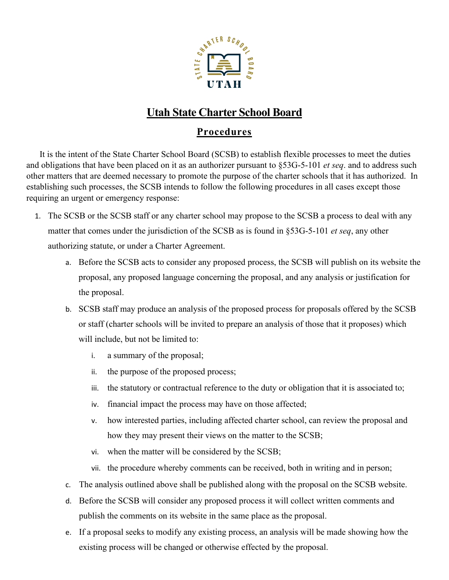

## **Utah State Charter School Board**

## **Procedures**

It is the intent of the State Charter School Board (SCSB) to establish flexible processes to meet the duties and obligations that have been placed on it as an authorizer pursuant to §53G-5-101 *et seq*. and to address such other matters that are deemed necessary to promote the purpose of the charter schools that it has authorized. In establishing such processes, the SCSB intends to follow the following procedures in all cases except those requiring an urgent or emergency response:

- 1. The SCSB or the SCSB staff or any charter school may propose to the SCSB a process to deal with any matter that comes under the jurisdiction of the SCSB as is found in §53G-5-101 *et seq*, any other authorizing statute, or under a Charter Agreement.
	- a. Before the SCSB acts to consider any proposed process, the SCSB will publish on its website the proposal, any proposed language concerning the proposal, and any analysis or justification for the proposal.
	- b. SCSB staff may produce an analysis of the proposed process for proposals offered by the SCSB or staff (charter schools will be invited to prepare an analysis of those that it proposes) which will include, but not be limited to:
		- i. a summary of the proposal;
		- ii. the purpose of the proposed process;
		- iii. the statutory or contractual reference to the duty or obligation that it is associated to;
		- iv. financial impact the process may have on those affected;
		- v. how interested parties, including affected charter school, can review the proposal and how they may present their views on the matter to the SCSB;
		- vi. when the matter will be considered by the SCSB;
		- vii. the procedure whereby comments can be received, both in writing and in person;
	- c. The analysis outlined above shall be published along with the proposal on the SCSB website.
	- d. Before the SCSB will consider any proposed process it will collect written comments and publish the comments on its website in the same place as the proposal.
	- e. If a proposal seeks to modify any existing process, an analysis will be made showing how the existing process will be changed or otherwise effected by the proposal.